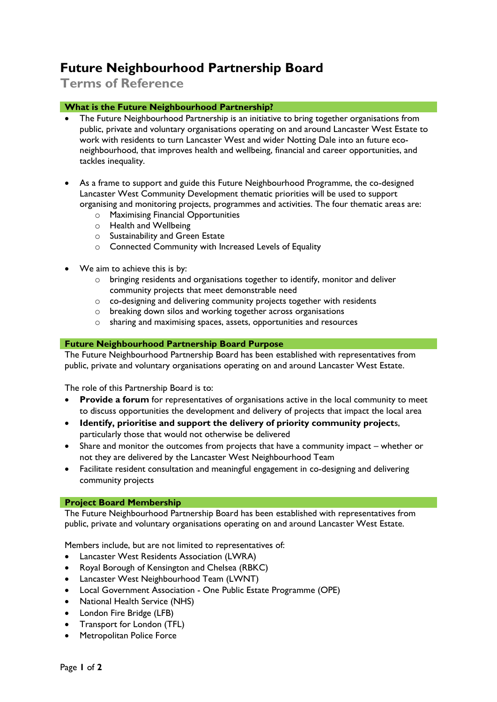## **Future Neighbourhood Partnership Board**

**Terms of Reference**

## **What is the Future Neighbourhood Partnership?**

- The Future Neighbourhood Partnership is an initiative to bring together organisations from public, private and voluntary organisations operating on and around Lancaster West Estate to work with residents to turn Lancaster West and wider Notting Dale into an future econeighbourhood, that improves health and wellbeing, financial and career opportunities, and tackles inequality.
- As a frame to support and guide this Future Neighbourhood Programme, the co-designed Lancaster West Community Development thematic priorities will be used to support organising and monitoring projects, programmes and activities. The four thematic areas are:
	- o Maximising Financial Opportunities
	- o Health and Wellbeing
	- o Sustainability and Green Estate
	- o Connected Community with Increased Levels of Equality
- We aim to achieve this is by:
	- o bringing residents and organisations together to identify, monitor and deliver community projects that meet demonstrable need
	- o co-designing and delivering community projects together with residents
	- o breaking down silos and working together across organisations
	- o sharing and maximising spaces, assets, opportunities and resources

## **Future Neighbourhood Partnership Board Purpose**

The Future Neighbourhood Partnership Board has been established with representatives from public, private and voluntary organisations operating on and around Lancaster West Estate.

The role of this Partnership Board is to:

- **Provide a forum** for representatives of organisations active in the local community to meet to discuss opportunities the development and delivery of projects that impact the local area
- **Identify, prioritise and support the delivery of priority community project**s, particularly those that would not otherwise be delivered
- Share and monitor the outcomes from projects that have a community impact whether or not they are delivered by the Lancaster West Neighbourhood Team
- Facilitate resident consultation and meaningful engagement in co-designing and delivering community projects

## **Project Board Membership**

The Future Neighbourhood Partnership Board has been established with representatives from public, private and voluntary organisations operating on and around Lancaster West Estate.

Members include, but are not limited to representatives of:

- Lancaster West Residents Association (LWRA)
- Royal Borough of Kensington and Chelsea (RBKC)
- Lancaster West Neighbourhood Team (LWNT)
- Local Government Association One Public Estate Programme (OPE)
- National Health Service (NHS)
- London Fire Bridge (LFB)
- Transport for London (TFL)
- Metropolitan Police Force